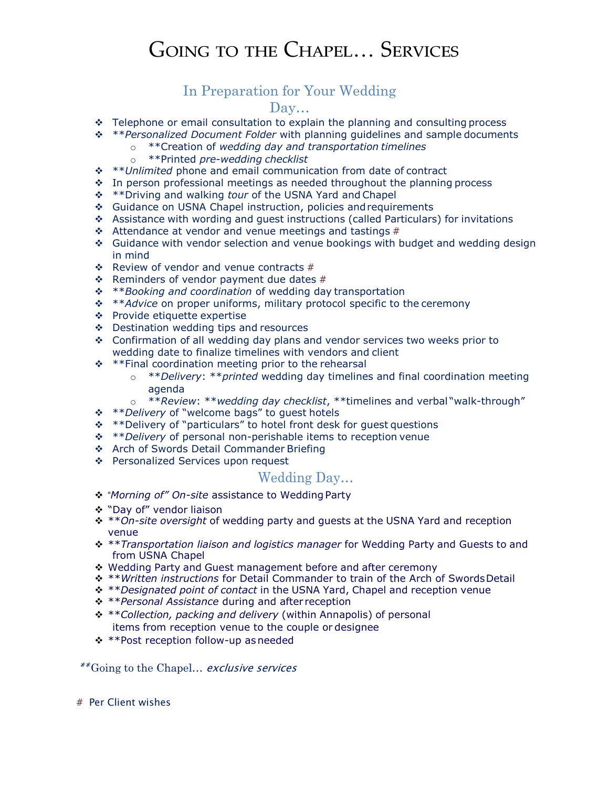## Going to the Chapel… Services

### In Preparation for Your Wedding

#### Day…

- \* Telephone or email consultation to explain the planning and consulting process
- \*\**Personalized Document Folder* with planning guidelines and sample documents
	- o \*\*Creation of *wedding day and transportation timelines*
	- o \*\*Printed *pre-wedding checklist*
- \*\**Unlimited* phone and email communication from date of contract
- $\div$  In person professional meetings as needed throughout the planning process
- \*\*Driving and walking *tour* of the USNA Yard and Chapel
- ◆ Guidance on USNA Chapel instruction, policies and requirements
- Assistance with wording and guest instructions (called Particulars) for invitations
- $\div$  Attendance at vendor and venue meetings and tastings #
- Guidance with vendor selection and venue bookings with budget and wedding design in mind
- $\div$  Review of vendor and venue contracts #
- $\div$  Reminders of vendor payment due dates #
- \*\**Booking and coordination* of wedding day transportation
- \*\**Advice* on proper uniforms, military protocol specific to the ceremony
- ❖ Provide etiquette expertise
- ❖ Destination wedding tips and resources
- $\div$  Confirmation of all wedding day plans and vendor services two weeks prior to wedding date to finalize timelines with vendors and client
- $**F$ inal coordination meeting prior to the rehearsal
	- o \*\**Delivery*: \*\**printed* wedding day timelines and final coordination meeting agenda
	- o \*\**Review*: \*\**wedding day checklist*, \*\*timelines and verbal "walk-through"
- \*\**Delivery* of "welcome bags" to guest hotels
- $**$  Pelivery of "particulars" to hotel front desk for guest questions
- \*\**Delivery* of personal non-perishable items to reception venue
- \* Arch of Swords Detail Commander Briefing
- ❖ Personalized Services upon request

#### Wedding Day…

- "*Morning of" On-site* assistance to Wedding Party
- "Day of" vendor liaison
- \*\**On-site oversight* of wedding party and guests at the USNA Yard and reception venue
- \*\**Transportation liaison and logistics manager* for Wedding Party and Guests to and from USNA Chapel
- ◆ Wedding Party and Guest management before and after ceremony
- \*\**Written instructions* for Detail Commander to train of the Arch of SwordsDetail
- \*\**Designated point of contact* in the USNA Yard, Chapel and reception venue
- \*\**Personal Assistance* during and after reception
- \*\**Collection, packing and delivery* (within Annapolis) of personal items from reception venue to the couple or designee
- \*\*Post reception follow-up asneeded

*\*\** Going to the Chapel… exclusive services

# Per Client wishes